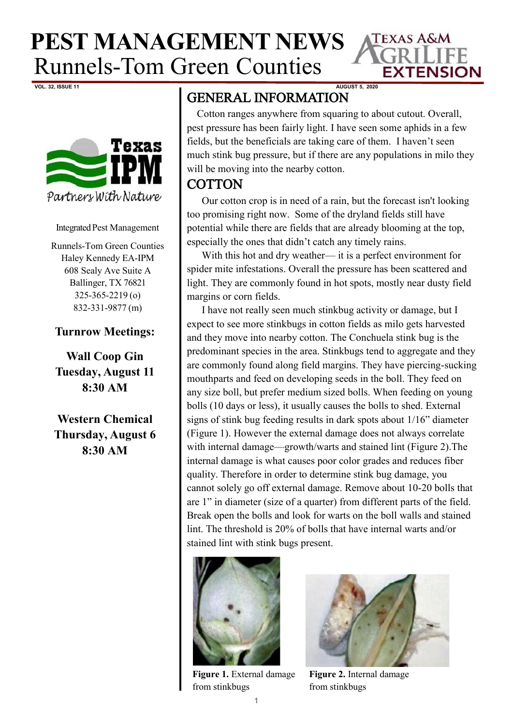**PEST MANAGEMENT NEWS** Runnels-Tom Green Counties



**VOL. 32, ISSUE 11 AUGUST 5, 2020**



Integrated Pest Management

Runnels-Tom Green Counties Haley Kennedy EA-IPM 608 Sealy Ave Suite A Ballinger, TX 76821 325-365-2219 (o) 832-331-9877 (m)

## **Turnrow Meetings:**

**Wall Coop Gin Tuesday, August 11 8:30 AM**

**Western Chemical Thursday, August 6 8:30 AM**

## GENERAL INFORMATION

 Cotton ranges anywhere from squaring to about cutout. Overall, pest pressure has been fairly light. I have seen some aphids in a few fields, but the beneficials are taking care of them. I haven't seen much stink bug pressure, but if there are any populations in milo they will be moving into the nearby cotton.

## **COTTON**

Our cotton crop is in need of a rain, but the forecast isn't looking too promising right now. Some of the dryland fields still have potential while there are fields that are already blooming at the top, especially the ones that didn't catch any timely rains.

With this hot and dry weather— it is a perfect environment for spider mite infestations. Overall the pressure has been scattered and light. They are commonly found in hot spots, mostly near dusty field margins or corn fields.

I have not really seen much stinkbug activity or damage, but I expect to see more stinkbugs in cotton fields as milo gets harvested and they move into nearby cotton. The Conchuela stink bug is the predominant species in the area. Stinkbugs tend to aggregate and they are commonly found along field margins. They have piercing-sucking mouthparts and feed on developing seeds in the boll. They feed on any size boll, but prefer medium sized bolls. When feeding on young bolls (10 days or less), it usually causes the bolls to shed. External signs of stink bug feeding results in dark spots about 1/16" diameter (Figure 1). However the external damage does not always correlate with internal damage—growth/warts and stained lint (Figure 2).The internal damage is what causes poor color grades and reduces fiber quality. Therefore in order to determine stink bug damage, you cannot solely go off external damage. Remove about 10-20 bolls that are 1" in diameter (size of a quarter) from different parts of the field. Break open the bolls and look for warts on the boll walls and stained lint. The threshold is 20% of bolls that have internal warts and/or stained lint with stink bugs present.



**Figure 1.** External damage from stinkbugs



**Figure 2.** Internal damage from stinkbugs